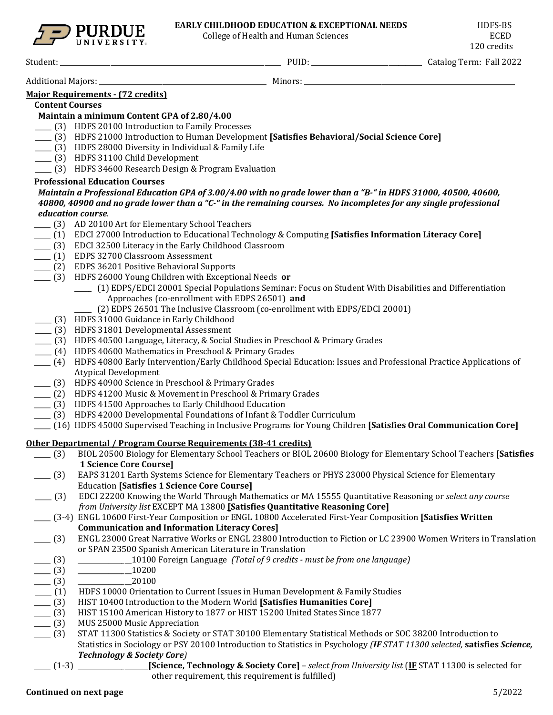

College of Health and Human Sciences

Student: \_\_\_\_\_\_\_\_\_\_\_\_\_\_\_\_\_\_\_\_\_\_\_\_\_\_\_\_\_\_\_\_\_\_\_\_\_\_\_\_\_\_\_\_\_\_\_\_\_\_\_\_\_\_\_\_\_\_\_\_\_\_\_\_\_\_ PUID: \_\_\_\_\_\_\_\_\_\_\_\_\_\_\_\_\_\_\_\_\_\_\_\_\_\_\_\_\_\_\_\_\_ Catalog Term: Fall 2022

Additional Majors: \_\_\_\_\_\_\_\_\_\_\_\_\_\_\_\_\_\_\_\_\_\_\_\_\_\_\_\_\_\_\_\_\_\_\_\_\_\_\_\_\_\_\_\_\_\_\_\_\_\_ Minors: \_\_\_\_\_\_\_\_\_\_\_\_\_\_\_\_\_\_\_\_\_\_\_\_\_\_\_\_\_\_\_\_\_\_\_\_\_\_\_\_\_\_\_\_\_\_\_\_\_\_\_\_\_\_\_\_\_\_\_\_\_\_\_

# **Major Requirements - (72 credits)**

**Content Courses** 

## **Maintain a minimum Content GPA of 2.80/4.00**

- \_\_\_\_\_ (3) HDFS 20100 Introduction to Family Processes
- \_\_\_\_\_ (3) HDFS 21000 Introduction to Human Development **[Satisfies Behavioral/Social Science Core]**
- \_\_\_\_\_ (3) HDFS 28000 Diversity in Individual & Family Life
- \_\_\_\_\_ (3) HDFS 31100 Child Development
- \_\_\_\_\_ (3) HDFS 34600 Research Design & Program Evaluation

## **Professional Education Courses**

### *Maintain a Professional Education GPA of 3.00/4.00 with no grade lower than a "B-" in HDFS 31000, 40500, 40600, 40800, 40900 and no grade lower than a "C-" in the remaining courses. No incompletes for any single professional education course*.

- \_\_\_\_\_ (3) AD 20100 Art for Elementary School Teachers
- \_\_\_\_\_ (1) EDCI 27000 Introduction to Educational Technology & Computing **[Satisfies Information Literacy Core]**
- \_\_\_\_\_ (3) EDCI 32500 Literacy in the Early Childhood Classroom
- \_\_\_\_\_ (1) EDPS 32700 Classroom Assessment
- \_\_\_\_\_ (2) EDPS 36201 Positive Behavioral Supports
- \_\_\_\_\_ (3) HDFS 26000 Young Children with Exceptional Needs **or**
	- \_\_\_\_\_ (1) EDPS/EDCI 20001 Special Populations Seminar: Focus on Student With Disabilities and Differentiation Approaches (co-enrollment with EDPS 26501) **and**
		- (2) EDPS 26501 The Inclusive Classroom (co-enrollment with EDPS/EDCI 20001)
	- \_\_\_\_\_ (3) HDFS 31000 Guidance in Early Childhood
- \_\_\_\_\_ (3) HDFS 31801 Developmental Assessment
- \_\_\_\_\_ (3) HDFS 40500 Language, Literacy, & Social Studies in Preschool & Primary Grades
- \_\_\_\_\_ (4) HDFS 40600 Mathematics in Preschool & Primary Grades
- \_\_\_\_\_ (4) HDFS 40800 Early Intervention/Early Childhood Special Education: Issues and Professional Practice Applications of Atypical Development
- \_\_\_\_\_ (3) HDFS 40900 Science in Preschool & Primary Grades
- \_\_\_\_\_ (2) HDFS 41200 Music & Movement in Preschool & Primary Grades
- \_\_\_\_\_ (3) HDFS 41500 Approaches to Early Childhood Education
- \_\_\_\_\_ (3) HDFS 42000 Developmental Foundations of Infant & Toddler Curriculum
- \_\_\_\_\_ (16) HDFS 45000 Supervised Teaching in Inclusive Programs for Young Children **[Satisfies Oral Communication Core]**

# **Other Departmental / Program Course Requirements (38-41 credits)**

- \_\_\_\_\_ (3) BIOL 20500 Biology for Elementary School Teachers or BIOL 20600 Biology for Elementary School Teachers **[Satisfies 1 Science Core Course]**
- \_\_\_\_\_ (3) EAPS 31201 Earth Systems Science for Elementary Teachers or PHYS 23000 Physical Science for Elementary Education **[Satisfies 1 Science Core Course]**
- \_\_\_\_\_ (3) EDCI 22200 Knowing the World Through Mathematics or MA 15555 Quantitative Reasoning or *select any course from University list* EXCEPT MA 13800 **[Satisfies Quantitative Reasoning Core]**
- \_\_\_\_\_ (3-4) ENGL 10600 First-Year Composition or ENGL 10800 Accelerated First-Year Composition **[Satisfies Written Communication and Information Literacy Cores]**
- \_\_\_\_\_ (3) ENGL 23000 Great Narrative Works or ENGL 23800 Introduction to Fiction or LC 23900 Women Writers in Translation or SPAN 23500 Spanish American Literature in Translation
	- \_\_\_\_\_ (3) \_\_\_\_\_\_\_\_\_\_\_\_\_\_\_\_10100 Foreign Language *(Total of 9 credits - must be from one language)*
- $\frac{(3)}{2}$   $\frac{10200}{20100}$
- 
- $\frac{1}{2}$  (3)  $\frac{1}{2}$  HDFS 10000 Orienta HDFS 10000 Orientation to Current Issues in Human Development & Family Studies
- \_\_\_\_\_ (3) HIST 10400 Introduction to the Modern World **[Satisfies Humanities Core]**
- \_\_\_\_ (3) HIST 15100 American History to 1877 or HIST 15200 United States Since 1877<br>\_\_\_ (3) MUS 25000 Music Appreciation
- \_\_ (3) MUS 25000 Music Appreciation<br>\_\_ (3) STAT 11300 Statistics & Society
- \_\_\_\_\_ (3) STAT 11300 Statistics & Society or STAT 30100 Elementary Statistical Methods or SOC 38200 Introduction to Statistics in Sociology or PSY 20100 Introduction to Statistics in Psychology *(IF STAT 11300 selected,* **satisfies** *Science, Technology & Society Core)*
- 
- \_\_\_\_\_ (1-3) \_\_\_\_\_\_\_\_\_\_\_\_\_\_\_\_\_\_\_\_\_**[Science, Technology & Society Core]**  *select from University list* (**IF** STAT 11300 is selected for other requirement, this requirement is fulfilled)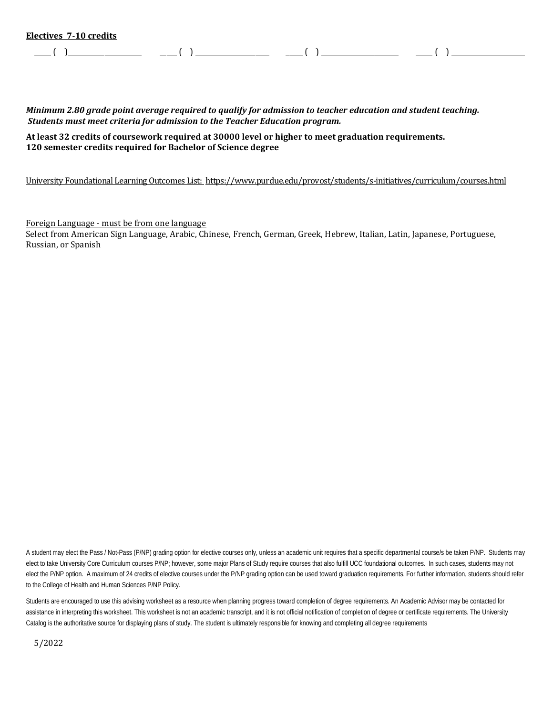\_\_\_\_\_ ( )\_\_\_\_\_\_\_\_\_\_\_\_\_\_\_\_\_\_\_\_\_\_ \_\_\_\_\_ ( ) \_\_\_\_\_\_\_\_\_\_\_\_\_\_\_\_\_\_\_\_\_\_ \_\_\_\_\_ ( ) \_\_\_\_\_\_\_\_\_\_\_\_\_\_\_\_\_\_\_\_\_\_\_ \_\_\_\_\_ ( ) \_\_\_\_\_\_\_\_\_\_\_\_\_\_\_\_\_\_\_\_\_\_

*Minimum 2.80 grade point average required to qualify for admission to teacher education and student teaching. Students must meet criteria for admission to the Teacher Education program.* 

**At least 32 credits of coursework required at 30000 level or higher to meet graduation requirements. 120 semester credits required for Bachelor of Science degree**

University Foundational Learning Outcomes List:<https://www.purdue.edu/provost/students/s-initiatives/curriculum/courses.html>

Foreign Language - must be from one language

Select from American Sign Language, Arabic, Chinese, French, German, Greek, Hebrew, Italian, Latin, Japanese, Portuguese, Russian, or Spanish

A student may elect the Pass / Not-Pass (P/NP) grading option for elective courses only, unless an academic unit requires that a specific departmental course/s be taken P/NP. Students may elect to take University Core Curriculum courses P/NP; however, some major Plans of Study require courses that also fulfill UCC foundational outcomes. In such cases, students may not elect the P/NP option. A maximum of 24 credits of elective courses under the P/NP grading option can be used toward graduation requirements. For further information, students should refer to the College of Health and Human Sciences P/NP Policy.

Students are encouraged to use this advising worksheet as a resource when planning progress toward completion of degree requirements. An Academic Advisor may be contacted for assistance in interpreting this worksheet. This worksheet is not an academic transcript, and it is not official notification of completion of degree or certificate requirements. The University Catalog is the authoritative source for displaying plans of study. The student is ultimately responsible for knowing and completing all degree requirements

5/2022